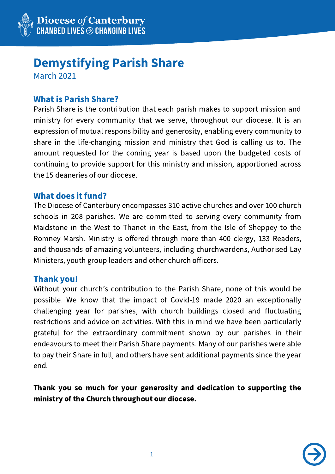

# Demystifying Parish Share

March 2021

# What is Parish Share?

Parish Share is the contribution that each parish makes to support mission and ministry for every community that we serve, throughout our diocese. It is an expression of mutual responsibility and generosity, enabling every community to share in the life-changing mission and ministry that God is calling us to. The amount requested for the coming year is based upon the budgeted costs of continuing to provide support for this ministry and mission, apportioned across the 15 deaneries of our diocese.

# What does it fund?

The Diocese of Canterbury encompasses 310 active churches and over 100 church schools in 208 parishes. We are committed to serving every community from Maidstone in the West to Thanet in the East, from the Isle of Sheppey to the Romney Marsh. Ministry is offered through more than 400 clergy, 133 Readers, and thousands of amazing volunteers, including churchwardens, Authorised Lay Ministers, youth group leaders and other church officers.

#### Thank you!

Without your church's contribution to the Parish Share, none of this would be possible. We know that the impact of Covid-19 made 2020 an exceptionally challenging year for parishes, with church buildings closed and fluctuating restrictions and advice on activities. With this in mind we have been particularly grateful for the extraordinary commitment shown by our parishes in their endeavours to meet their Parish Share payments. Many of our parishes were able to pay their Share in full, and others have sent additional payments since the year end.

Thank you so much for your generosity and dedication to supporting the ministry of the Church throughout our diocese.

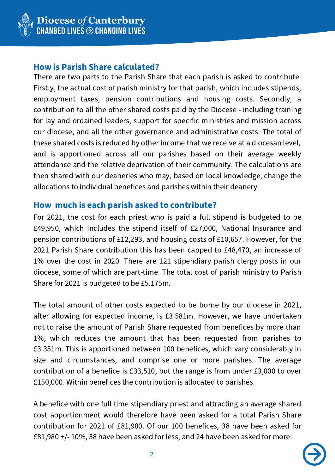

### How is Parish Share calculated?

There are two parts to the Parish Share that each parish is asked to contribute. Firstly, the actual cost of parish ministry for that parish, which includes stipends, employment taxes, pension contributions and housing costs. Secondly, a contribution to all the other shared costs paid by the Diocese - including training for lay and ordained leaders, support for specific ministries and mission across our diocese, and all the other governance and administrative costs. The total of these shared costs is reduced by other income that we receive at a diocesan level, and is apportioned across all our parishes based on their average weekly attendance and the relative deprivation of their community. The calculations are then shared with our deaneries who may, based on local knowledge, change the allocations to individual benefices and parishes within their deanery.

#### How much is each parish asked to contribute?

For 2021, the cost for each priest who is paid a full stipend is budgeted to be £49,950, which includes the stipend itself of £27,000, National Insurance and pension contributions of £12,293, and housing costs of £10,657. However, for the 2021 Parish Share contribution this has been capped to £48,470, an increase of 1% over the cost in 2020. There are 121 stipendiary parish clergy posts in our diocese, some of which are part-time. The total cost of parish ministry to Parish Share for 2021 is budgeted to be £5.175m.

The total amount of other costs expected to be borne by our diocese in 2021, after allowing for expected income, is £3.581m. However, we have undertaken not to raise the amount of Parish Share requested from benefices by more than 1%, which reduces the amount that has been requested from parishes to £3.351m. This is apportioned between 100 benefices, which vary considerably in size and circumstances, and comprise one or more parishes. The average contribution of a benefice is £33,510, but the range is from under £3,000 to over £150,000. Within benefices the contribution is allocated to parishes.

A benefice with one full time stipendiary priest and attracting an average shared cost apportionment would therefore have been asked for a total Parish Share contribution for 2021 of £81,980. Of our 100 benefices, 38 have been asked for £81,980 +/- 10%, 38 have been asked for less, and 24 have been asked for more.

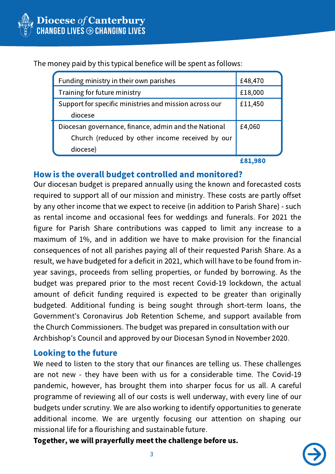

The money paid by this typical benefice will be spent as follows:

| Funding ministry in their own parishes                 | £48,470 |
|--------------------------------------------------------|---------|
| Training for future ministry                           | £18,000 |
| Support for specific ministries and mission across our | £11,450 |
| diocese                                                |         |
| Diocesan governance, finance, admin and the National   | £4,060  |
| Church (reduced by other income received by our        |         |
| diocese)                                               |         |
|                                                        |         |

£81,980

# How is the overall budget controlled and monitored?

Our diocesan budget is prepared annually using the known and forecasted costs required to support all of our mission and ministry. These costs are partly offset by any other income that we expect to receive (in addition to Parish Share) - such as rental income and occasional fees for weddings and funerals. For 2021 the figure for Parish Share contributions was capped to limit any increase to a maximum of 1%, and in addition we have to make provision for the financial consequences of not all parishes paying all of their requested Parish Share. As a result, we have budgeted for a deficit in 2021, which will have to be found from inyear savings, proceeds from selling properties, or funded by borrowing. As the budget was prepared prior to the most recent Covid-19 lockdown, the actual amount of deficit funding required is expected to be greater than originally budgeted. Additional funding is being sought through short-term loans, the Government's Coronavirus Job Retention Scheme, and support available from the Church Commissioners. The budget was prepared in consultation with our Archbishop's Council and approved by our Diocesan Synod in November 2020.

#### Looking to the future

We need to listen to the story that our finances are telling us. These challenges are not new - they have been with us for a considerable time. The Covid-19 pandemic, however, has brought them into sharper focus for us all. A careful programme of reviewing all of our costs is well underway, with every line of our budgets under scrutiny. We are also working to identify opportunities to generate additional income. We are urgently focusing our attention on shaping our missional life for a flourishing and sustainable future.

Together, we will prayerfully meet the challenge before us.

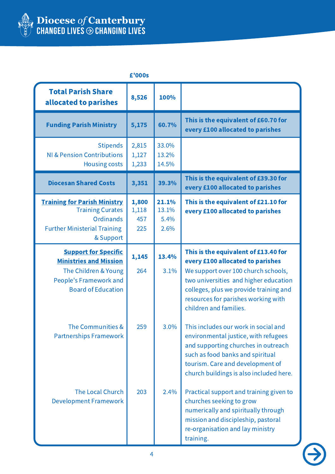

| £'000s                                                                                                                                      |                              |                                |                                                                                                                                                                                                                                                                     |
|---------------------------------------------------------------------------------------------------------------------------------------------|------------------------------|--------------------------------|---------------------------------------------------------------------------------------------------------------------------------------------------------------------------------------------------------------------------------------------------------------------|
| <b>Total Parish Share</b><br>allocated to parishes                                                                                          | 8,526                        | 100%                           |                                                                                                                                                                                                                                                                     |
| <b>Funding Parish Ministry</b>                                                                                                              | 5,175                        | 60.7%                          | This is the equivalent of £60.70 for<br>every £100 allocated to parishes                                                                                                                                                                                            |
| <b>Stipends</b><br><b>NI &amp; Pension Contributions</b><br><b>Housing costs</b>                                                            | 2,815<br>1,127<br>1,233      | 33.0%<br>13.2%<br>14.5%        |                                                                                                                                                                                                                                                                     |
| <b>Diocesan Shared Costs</b>                                                                                                                | 3,351                        | 39.3%                          | This is the equivalent of £39.30 for<br>every £100 allocated to parishes                                                                                                                                                                                            |
| <b>Training for Parish Ministry</b><br><b>Training Curates</b><br><b>Ordinands</b><br><b>Further Ministerial Training</b><br>& Support      | 1,800<br>1,118<br>457<br>225 | 21.1%<br>13.1%<br>5.4%<br>2.6% | This is the equivalent of £21.10 for<br>every £100 allocated to parishes                                                                                                                                                                                            |
| <b>Support for Specific</b><br><b>Ministries and Mission</b><br>The Children & Young<br>People's Framework and<br><b>Board of Education</b> | 1,145<br>264                 | 13.4%<br>3.1%                  | This is the equivalent of £13.40 for<br>every £100 allocated to parishes<br>We support over 100 church schools,<br>two universities and higher education<br>colleges, plus we provide training and<br>resources for parishes working with<br>children and families. |
| The Communities &<br><b>Partnerships Framework</b>                                                                                          | 259                          | 3.0%                           | This includes our work in social and<br>environmental justice, with refugees<br>and supporting churches in outreach<br>such as food banks and spiritual<br>tourism. Care and development of<br>church buildings is also included here.                              |
| The Local Church<br><b>Development Framework</b>                                                                                            | 203                          | 2.4%                           | Practical support and training given to<br>churches seeking to grow<br>numerically and spiritually through<br>mission and discipleship, pastoral<br>re-organisation and lay ministry<br>training.                                                                   |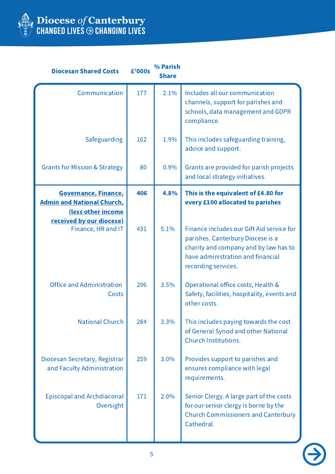

| <b>Diocesan Shared Costs</b>                                                    | £'000s | % Parish<br><b>Share</b> |                                                                                                                                                                                     |
|---------------------------------------------------------------------------------|--------|--------------------------|-------------------------------------------------------------------------------------------------------------------------------------------------------------------------------------|
| Communication                                                                   | 177    | 2.1%                     | Includes all our communication<br>channels, support for parishes and<br>schools, data management and GDPR<br>compliance.                                                            |
| Safeguarding                                                                    | 162    | 1.9%                     | This includes safeguarding training,<br>advice and support.                                                                                                                         |
| <b>Grants for Mission &amp; Strategy</b>                                        | 80     | 0.9%                     | Grants are provided for parish projects<br>and local strategy initiatives.                                                                                                          |
| Governance, Finance,<br><b>Admin and National Church,</b><br>(less other income | 406    | 4.8%                     | This is the equivalent of £4.80 for<br>every £100 allocated to parishes                                                                                                             |
| received by our diocese)<br>Finance, HR and IT                                  | 431    | 5.1%                     | Finance includes our Gift Aid service for<br>parishes. Canterbury Diocese is a<br>charity and company and by law has to<br>have administration and financial<br>recording services. |
| <b>Office and Administration</b><br>Costs                                       | 296    | 3.5%                     | Operational office costs, Health &<br>Safety, facilities, hospitality, events and<br>other costs.                                                                                   |
| <b>National Church</b>                                                          | 284    | 3.3%                     | This includes paying towards the cost<br>of General Synod and other National<br><b>Church Institutions.</b>                                                                         |
| Diocesan Secretary, Registrar<br>and Faculty Administration                     | 259    | 3.0%                     | Provides support to parishes and<br>ensures compliance with legal<br>requirements.                                                                                                  |
| <b>Episcopal and Archdiaconal</b><br>Oversight                                  | 171    | 2.0%                     | Senior Clergy. A large part of the costs<br>for our senior clergy is borne by the<br><b>Church Commissioners and Canterbury</b><br>Cathedral.                                       |